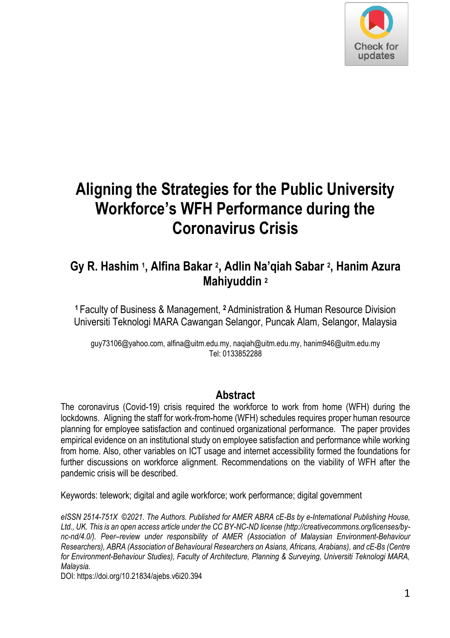

# **Aligning the Strategies for the Public University Workforce's WFH Performance during the Coronavirus Crisis**

### **Gy R. Hashim <sup>1</sup> , Alfina Bakar <sup>2</sup> , Adlin Na'qiah Sabar <sup>2</sup> , Hanim Azura Mahiyuddin <sup>2</sup>**

**<sup>1</sup>**Faculty of Business & Management, **<sup>2</sup>**Administration & Human Resource Division Universiti Teknologi MARA Cawangan Selangor, Puncak Alam, Selangor, Malaysia

guy73106@yahoo.com, alfina@uitm.edu.my, naqiah@uitm.edu.my, hanim946@uitm.edu.my Tel: 0133852288

#### **Abstract**

The coronavirus (Covid-19) crisis required the workforce to work from home (WFH) during the lockdowns. Aligning the staff for work-from-home (WFH) schedules requires proper human resource planning for employee satisfaction and continued organizational performance. The paper provides empirical evidence on an institutional study on employee satisfaction and performance while working from home. Also, other variables on ICT usage and internet accessibility formed the foundations for further discussions on workforce alignment. Recommendations on the viability of WFH after the pandemic crisis will be described.

Keywords: telework; digital and agile workforce; work performance; digital government

*eISSN 2514-751X ©2021. The Authors. Published for AMER ABRA cE-Bs by e-International Publishing House, Ltd., UK. This is an open access article under the CC BY-NC-ND license (http://creativecommons.org/licenses/bync-nd/4.0/). Peer–review under responsibility of AMER (Association of Malaysian Environment-Behaviour Researchers), ABRA (Association of Behavioural Researchers on Asians, Africans, Arabians), and cE-Bs (Centre for Environment-Behaviour Studies), Faculty of Architecture, Planning & Surveying, Universiti Teknologi MARA, Malaysia.* 

DOI: https://doi.org/10.21834/ajebs.v6i20.394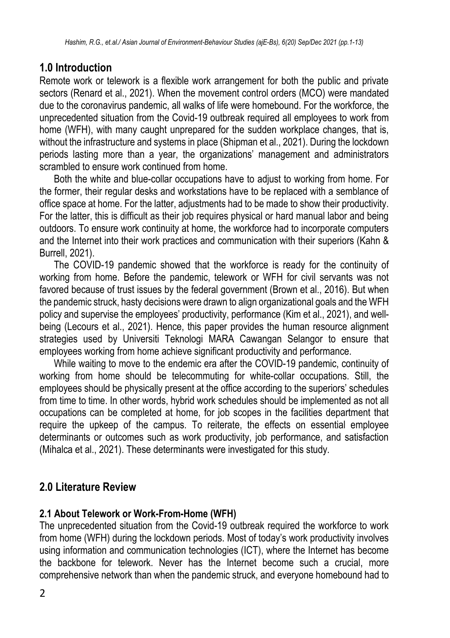#### **1.0 Introduction**

Remote work or telework is a flexible work arrangement for both the public and private sectors (Renard et al., 2021). When the movement control orders (MCO) were mandated due to the coronavirus pandemic, all walks of life were homebound. For the workforce, the unprecedented situation from the Covid-19 outbreak required all employees to work from home (WFH), with many caught unprepared for the sudden workplace changes, that is, without the infrastructure and systems in place (Shipman et al., 2021). During the lockdown periods lasting more than a year, the organizations' management and administrators scrambled to ensure work continued from home.

Both the white and blue-collar occupations have to adjust to working from home. For the former, their regular desks and workstations have to be replaced with a semblance of office space at home. For the latter, adjustments had to be made to show their productivity. For the latter, this is difficult as their job requires physical or hard manual labor and being outdoors. To ensure work continuity at home, the workforce had to incorporate computers and the Internet into their work practices and communication with their superiors (Kahn & Burrell, 2021).

The COVID-19 pandemic showed that the workforce is ready for the continuity of working from home. Before the pandemic, telework or WFH for civil servants was not favored because of trust issues by the federal government (Brown et al., 2016). But when the pandemic struck, hasty decisions were drawn to align organizational goals and the WFH policy and supervise the employees' productivity, performance (Kim et al., 2021), and wellbeing (Lecours et al., 2021). Hence, this paper provides the human resource alignment strategies used by Universiti Teknologi MARA Cawangan Selangor to ensure that employees working from home achieve significant productivity and performance.

While waiting to move to the endemic era after the COVID-19 pandemic, continuity of working from home should be telecommuting for white-collar occupations. Still, the employees should be physically present at the office according to the superiors' schedules from time to time. In other words, hybrid work schedules should be implemented as not all occupations can be completed at home, for job scopes in the facilities department that require the upkeep of the campus. To reiterate, the effects on essential employee determinants or outcomes such as work productivity, job performance, and satisfaction (Mihalca et al., 2021). These determinants were investigated for this study.

### **2.0 Literature Review**

#### **2.1 About Telework or Work-From-Home (WFH)**

The unprecedented situation from the Covid-19 outbreak required the workforce to work from home (WFH) during the lockdown periods. Most of today's work productivity involves using information and communication technologies (ICT), where the Internet has become the backbone for telework. Never has the Internet become such a crucial, more comprehensive network than when the pandemic struck, and everyone homebound had to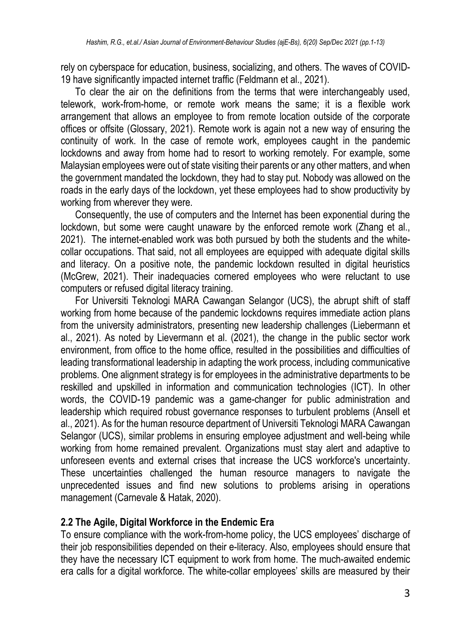rely on cyberspace for education, business, socializing, and others. The waves of COVID-19 have significantly impacted internet traffic (Feldmann et al., 2021).

To clear the air on the definitions from the terms that were interchangeably used, telework, work-from-home, or remote work means the same; it is a flexible work arrangement that allows an employee to from remote location outside of the corporate offices or offsite (Glossary, 2021). Remote work is again not a new way of ensuring the continuity of work. In the case of remote work, employees caught in the pandemic lockdowns and away from home had to resort to working remotely. For example, some Malaysian employees were out of state visiting their parents or any other matters, and when the government mandated the lockdown, they had to stay put. Nobody was allowed on the roads in the early days of the lockdown, yet these employees had to show productivity by working from wherever they were.

Consequently, the use of computers and the Internet has been exponential during the lockdown, but some were caught unaware by the enforced remote work (Zhang et al., 2021). The internet-enabled work was both pursued by both the students and the whitecollar occupations. That said, not all employees are equipped with adequate digital skills and literacy. On a positive note, the pandemic lockdown resulted in digital heuristics (McGrew, 2021). Their inadequacies cornered employees who were reluctant to use computers or refused digital literacy training.

For Universiti Teknologi MARA Cawangan Selangor (UCS), the abrupt shift of staff working from home because of the pandemic lockdowns requires immediate action plans from the university administrators, presenting new leadership challenges (Liebermann et al., 2021). As noted by Lievermann et al. (2021), the change in the public sector work environment, from office to the home office, resulted in the possibilities and difficulties of leading transformational leadership in adapting the work process, including communicative problems. One alignment strategy is for employees in the administrative departments to be reskilled and upskilled in information and communication technologies (ICT). In other words, the COVID-19 pandemic was a game-changer for public administration and leadership which required robust governance responses to turbulent problems (Ansell et al., 2021). As for the human resource department of Universiti Teknologi MARA Cawangan Selangor (UCS), similar problems in ensuring employee adjustment and well-being while working from home remained prevalent. Organizations must stay alert and adaptive to unforeseen events and external crises that increase the UCS workforce's uncertainty. These uncertainties challenged the human resource managers to navigate the unprecedented issues and find new solutions to problems arising in operations management (Carnevale & Hatak, 2020).

#### **2.2 The Agile, Digital Workforce in the Endemic Era**

To ensure compliance with the work-from-home policy, the UCS employees' discharge of their job responsibilities depended on their e-literacy. Also, employees should ensure that they have the necessary ICT equipment to work from home. The much-awaited endemic era calls for a digital workforce. The white-collar employees' skills are measured by their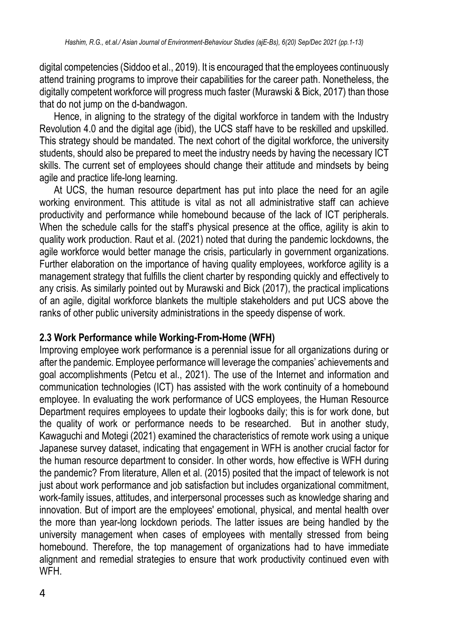digital competencies (Siddoo et al., 2019). It is encouraged that the employees continuously attend training programs to improve their capabilities for the career path. Nonetheless, the digitally competent workforce will progress much faster (Murawski & Bick, 2017) than those that do not jump on the d-bandwagon.

Hence, in aligning to the strategy of the digital workforce in tandem with the Industry Revolution 4.0 and the digital age (ibid), the UCS staff have to be reskilled and upskilled. This strategy should be mandated. The next cohort of the digital workforce, the university students, should also be prepared to meet the industry needs by having the necessary ICT skills. The current set of employees should change their attitude and mindsets by being agile and practice life-long learning.

At UCS, the human resource department has put into place the need for an agile working environment. This attitude is vital as not all administrative staff can achieve productivity and performance while homebound because of the lack of ICT peripherals. When the schedule calls for the staff's physical presence at the office, agility is akin to quality work production. Raut et al. (2021) noted that during the pandemic lockdowns, the agile workforce would better manage the crisis, particularly in government organizations. Further elaboration on the importance of having quality employees, workforce agility is a management strategy that fulfills the client charter by responding quickly and effectively to any crisis. As similarly pointed out by Murawski and Bick (2017), the practical implications of an agile, digital workforce blankets the multiple stakeholders and put UCS above the ranks of other public university administrations in the speedy dispense of work.

#### **2.3 Work Performance while Working-From-Home (WFH)**

Improving employee work performance is a perennial issue for all organizations during or after the pandemic. Employee performance will leverage the companies' achievements and goal accomplishments (Petcu et al., 2021). The use of the Internet and information and communication technologies (ICT) has assisted with the work continuity of a homebound employee. In evaluating the work performance of UCS employees, the Human Resource Department requires employees to update their logbooks daily; this is for work done, but the quality of work or performance needs to be researched. But in another study, Kawaguchi and Motegi (2021) examined the characteristics of remote work using a unique Japanese survey dataset, indicating that engagement in WFH is another crucial factor for the human resource department to consider. In other words, how effective is WFH during the pandemic? From literature, Allen et al. (2015) posited that the impact of telework is not just about work performance and job satisfaction but includes organizational commitment, work-family issues, attitudes, and interpersonal processes such as knowledge sharing and innovation. But of import are the employees' emotional, physical, and mental health over the more than year-long lockdown periods. The latter issues are being handled by the university management when cases of employees with mentally stressed from being homebound. Therefore, the top management of organizations had to have immediate alignment and remedial strategies to ensure that work productivity continued even with WFH.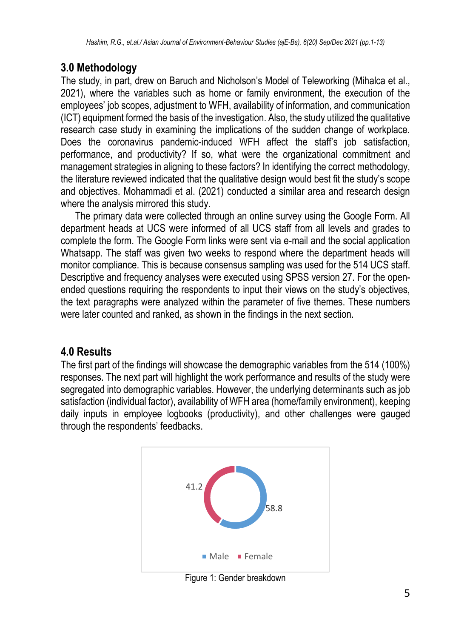### **3.0 Methodology**

The study, in part, drew on Baruch and Nicholson's Model of Teleworking (Mihalca et al., 2021), where the variables such as home or family environment, the execution of the employees' job scopes, adjustment to WFH, availability of information, and communication (ICT) equipment formed the basis of the investigation. Also, the study utilized the qualitative research case study in examining the implications of the sudden change of workplace. Does the coronavirus pandemic-induced WFH affect the staff's job satisfaction, performance, and productivity? If so, what were the organizational commitment and management strategies in aligning to these factors? In identifying the correct methodology, the literature reviewed indicated that the qualitative design would best fit the study's scope and objectives. Mohammadi et al. (2021) conducted a similar area and research design where the analysis mirrored this study.

The primary data were collected through an online survey using the Google Form. All department heads at UCS were informed of all UCS staff from all levels and grades to complete the form. The Google Form links were sent via e-mail and the social application Whatsapp. The staff was given two weeks to respond where the department heads will monitor compliance. This is because consensus sampling was used for the 514 UCS staff. Descriptive and frequency analyses were executed using SPSS version 27. For the openended questions requiring the respondents to input their views on the study's objectives, the text paragraphs were analyzed within the parameter of five themes. These numbers were later counted and ranked, as shown in the findings in the next section.

### **4.0 Results**

The first part of the findings will showcase the demographic variables from the 514 (100%) responses. The next part will highlight the work performance and results of the study were segregated into demographic variables. However, the underlying determinants such as job satisfaction (individual factor), availability of WFH area (home/family environment), keeping daily inputs in employee logbooks (productivity), and other challenges were gauged through the respondents' feedbacks.



Figure 1: Gender breakdown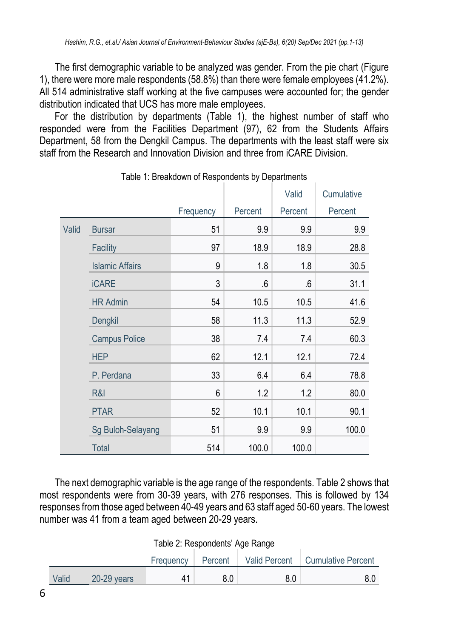The first demographic variable to be analyzed was gender. From the pie chart (Figure 1), there were more male respondents (58.8%) than there were female employees (41.2%). All 514 administrative staff working at the five campuses were accounted for; the gender distribution indicated that UCS has more male employees.

For the distribution by departments (Table 1), the highest number of staff who responded were from the Facilities Department (97), 62 from the Students Affairs Department, 58 from the Dengkil Campus. The departments with the least staff were six staff from the Research and Innovation Division and three from iCARE Division.

|       |                        |           |         | Valid   | Cumulative |
|-------|------------------------|-----------|---------|---------|------------|
|       |                        | Frequency | Percent | Percent | Percent    |
| Valid | <b>Bursar</b>          | 51        | 9.9     | 9.9     | 9.9        |
|       | Facility               | 97        | 18.9    | 18.9    | 28.8       |
|       | <b>Islamic Affairs</b> | 9         | 1.8     | 1.8     | 30.5       |
|       | <b>iCARE</b>           | 3         | 6.6     | $.6\,$  | 31.1       |
|       | <b>HR Admin</b>        | 54        | 10.5    | 10.5    | 41.6       |
|       | Dengkil                | 58        | 11.3    | 11.3    | 52.9       |
|       | <b>Campus Police</b>   | 38        | 7.4     | 7.4     | 60.3       |
|       | <b>HEP</b>             | 62        | 12.1    | 12.1    | 72.4       |
|       | P. Perdana             | 33        | 6.4     | 6.4     | 78.8       |
|       | R&I                    | 6         | 1.2     | 1.2     | 80.0       |
|       | <b>PTAR</b>            | 52        | 10.1    | 10.1    | 90.1       |
|       | Sg Buloh-Selayang      | 51        | 9.9     | 9.9     | 100.0      |
|       | <b>Total</b>           | 514       | 100.0   | 100.0   |            |

Table 1: Breakdown of Respondents by Departments

The next demographic variable is the age range of the respondents. Table 2 shows that most respondents were from 30-39 years, with 276 responses. This is followed by 134 responses from those aged between 40-49 years and 63 staff aged 50-60 years. The lowest number was 41 from a team aged between 20-29 years.

| Table 2: Respondents' Age Range |  |  |
|---------------------------------|--|--|
|---------------------------------|--|--|

|       |             | Frequency | Percent |     | Valid Percent   Cumulative Percent |
|-------|-------------|-----------|---------|-----|------------------------------------|
| Valid | 20-29 years |           |         | 8.0 | 8.0                                |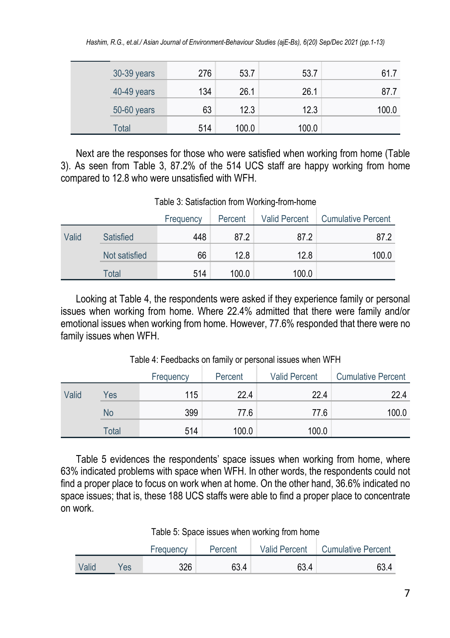| 30-39 years | 276 | 53.7  | 53.7  | 61.7  |
|-------------|-----|-------|-------|-------|
| 40-49 years | 134 | 26.1  | 26.1  | 87.7  |
| 50-60 years | 63  | 12.3  | 12.3  | 100.0 |
| Total       | 514 | 100.0 | 100.0 |       |

Next are the responses for those who were satisfied when working from home (Table 3). As seen from Table 3, 87.2% of the 514 UCS staff are happy working from home compared to 12.8 who were unsatisfied with WFH.

Table 3: Satisfaction from Working-from-home

|       |               | Frequency | Percent | <b>Valid Percent</b> | <b>Cumulative Percent</b> |
|-------|---------------|-----------|---------|----------------------|---------------------------|
| Valid | Satisfied     | 448       | 87.2    | 87.2                 | 87.2                      |
|       | Not satisfied | 66        | 12.8    | 12.8                 | 100.0                     |
|       | Total         | 514       | 100.0   | 100.0                |                           |

Looking at Table 4, the respondents were asked if they experience family or personal issues when working from home. Where 22.4% admitted that there were family and/or emotional issues when working from home. However, 77.6% responded that there were no family issues when WFH.

|       |       | Frequency | Percent | <b>Valid Percent</b> | <b>Cumulative Percent</b> |
|-------|-------|-----------|---------|----------------------|---------------------------|
| Valid | Yes   | 115       | 22.4    | 22.4                 | 22.4                      |
|       | No    | 399       | 77.6    | 77.6                 | 100.0                     |
|       | Total | 514       | 100.0   | 100.0                |                           |

Table 4: Feedbacks on family or personal issues when WFH

Table 5 evidences the respondents' space issues when working from home, where 63% indicated problems with space when WFH. In other words, the respondents could not find a proper place to focus on work when at home. On the other hand, 36.6% indicated no space issues; that is, these 188 UCS staffs were able to find a proper place to concentrate on work.

Table 5: Space issues when working from home

|       |     | Frequency | Percent | <b>Valid Percent</b> | <b>Cumulative Percent</b> |
|-------|-----|-----------|---------|----------------------|---------------------------|
| Valid | Yes | 326       | 63.4    | 63.4                 | 63.4                      |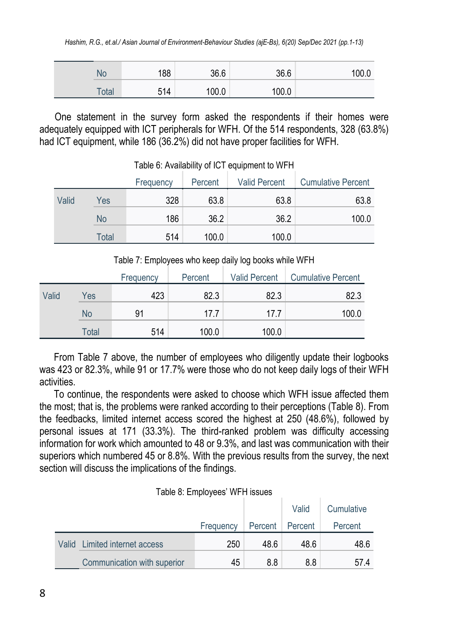| No    | 188 | 36.6  | 36.6  | 100.0 |
|-------|-----|-------|-------|-------|
| Total | 514 | 100.0 | 100.0 |       |

One statement in the survey form asked the respondents if their homes were adequately equipped with ICT peripherals for WFH. Of the 514 respondents, 328 (63.8%) had ICT equipment, while 186 (36.2%) did not have proper facilities for WFH.

|       |       | Frequency | Percent | <b>Valid Percent</b> | <b>Cumulative Percent</b> |
|-------|-------|-----------|---------|----------------------|---------------------------|
| Valid | Yes   | 328       | 63.8    | 63.8                 | 63.8                      |
|       | No    | 186       | 36.2    | 36.2                 | 100.0                     |
|       | Total | 514       | 100.0   | 100.0                |                           |

Table 6: Availability of ICT equipment to WFH

Table 7: Employees who keep daily log books while WFH

|       |       | Frequency | Percent | <b>Valid Percent</b> | <b>Cumulative Percent</b> |
|-------|-------|-----------|---------|----------------------|---------------------------|
| Valid | Yes   | 423       | 82.3    | 82.3                 | 82.3                      |
|       | No    | 91        | 17.7    | 17.7                 | 100.0                     |
|       | Total | 514       | 100.0   | 100.0                |                           |

From Table 7 above, the number of employees who diligently update their logbooks was 423 or 82.3%, while 91 or 17.7% were those who do not keep daily logs of their WFH activities.

To continue, the respondents were asked to choose which WFH issue affected them the most; that is, the problems were ranked according to their perceptions (Table 8). From the feedbacks, limited internet access scored the highest at 250 (48.6%), followed by personal issues at 171 (33.3%). The third-ranked problem was difficulty accessing information for work which amounted to 48 or 9.3%, and last was communication with their superiors which numbered 45 or 8.8%. With the previous results from the survey, the next section will discuss the implications of the findings.

|  |  | Table 8: Employees' WFH issues |  |
|--|--|--------------------------------|--|
|--|--|--------------------------------|--|

|                               |           |         | Valid   | Cumulative |
|-------------------------------|-----------|---------|---------|------------|
|                               | Frequency | Percent | Percent | Percent    |
| Valid Limited internet access | 250       | 48.6    | 48.6    | 48.6       |
| Communication with superior   | 45        | 8.8     | 8.8     | 57.4       |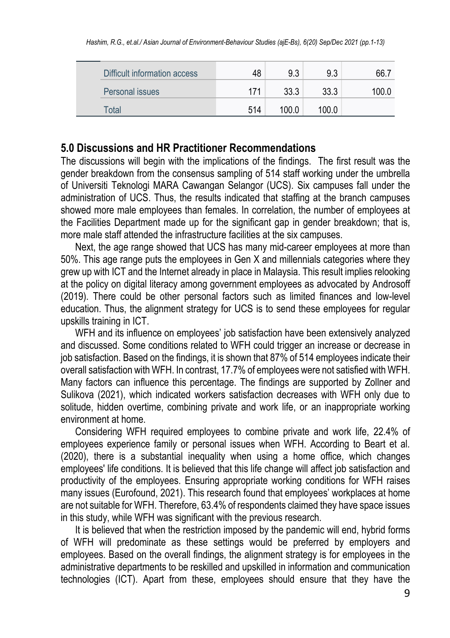|  | Difficult information access | 48  | 9.3   | 9.3   | 66.7  |
|--|------------------------------|-----|-------|-------|-------|
|  | Personal issues              | 171 | 33.3  | 33.3  | 100.0 |
|  | Total                        | 514 | 100.0 | 100.0 |       |

#### **5.0 Discussions and HR Practitioner Recommendations**

The discussions will begin with the implications of the findings. The first result was the gender breakdown from the consensus sampling of 514 staff working under the umbrella of Universiti Teknologi MARA Cawangan Selangor (UCS). Six campuses fall under the administration of UCS. Thus, the results indicated that staffing at the branch campuses showed more male employees than females. In correlation, the number of employees at the Facilities Department made up for the significant gap in gender breakdown; that is, more male staff attended the infrastructure facilities at the six campuses.

Next, the age range showed that UCS has many mid-career employees at more than 50%. This age range puts the employees in Gen X and millennials categories where they grew up with ICT and the Internet already in place in Malaysia. This result implies relooking at the policy on digital literacy among government employees as advocated by Androsoff (2019). There could be other personal factors such as limited finances and low-level education. Thus, the alignment strategy for UCS is to send these employees for regular upskills training in ICT.

WFH and its influence on employees' job satisfaction have been extensively analyzed and discussed. Some conditions related to WFH could trigger an increase or decrease in job satisfaction. Based on the findings, it is shown that 87% of 514 employees indicate their overall satisfaction with WFH. In contrast, 17.7% of employees were not satisfied with WFH. Many factors can influence this percentage. The findings are supported by Zollner and Sulikova (2021), which indicated workers satisfaction decreases with WFH only due to solitude, hidden overtime, combining private and work life, or an inappropriate working environment at home.

Considering WFH required employees to combine private and work life, 22.4% of employees experience family or personal issues when WFH. According to Beart et al. (2020), there is a substantial inequality when using a home office, which changes employees' life conditions. It is believed that this life change will affect job satisfaction and productivity of the employees. Ensuring appropriate working conditions for WFH raises many issues (Eurofound, 2021). This research found that employees' workplaces at home are not suitable for WFH. Therefore, 63.4% of respondents claimed they have space issues in this study, while WFH was significant with the previous research.

It is believed that when the restriction imposed by the pandemic will end, hybrid forms of WFH will predominate as these settings would be preferred by employers and employees. Based on the overall findings, the alignment strategy is for employees in the administrative departments to be reskilled and upskilled in information and communication technologies (ICT). Apart from these, employees should ensure that they have the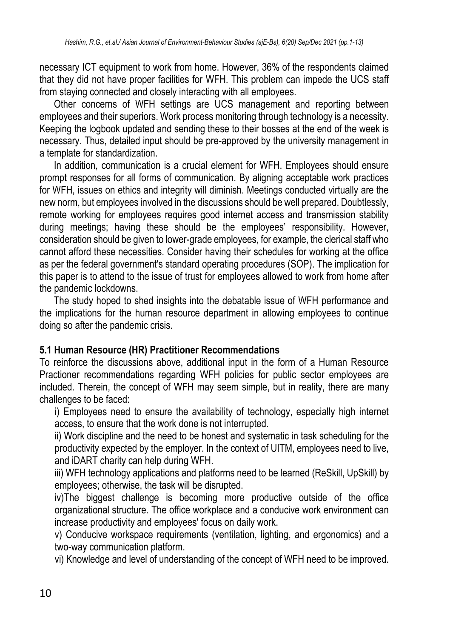necessary ICT equipment to work from home. However, 36% of the respondents claimed that they did not have proper facilities for WFH. This problem can impede the UCS staff from staying connected and closely interacting with all employees.

Other concerns of WFH settings are UCS management and reporting between employees and their superiors. Work process monitoring through technology is a necessity. Keeping the logbook updated and sending these to their bosses at the end of the week is necessary. Thus, detailed input should be pre-approved by the university management in a template for standardization.

In addition, communication is a crucial element for WFH. Employees should ensure prompt responses for all forms of communication. By aligning acceptable work practices for WFH, issues on ethics and integrity will diminish. Meetings conducted virtually are the new norm, but employees involved in the discussions should be well prepared. Doubtlessly, remote working for employees requires good internet access and transmission stability during meetings; having these should be the employees' responsibility. However, consideration should be given to lower-grade employees, for example, the clerical staff who cannot afford these necessities. Consider having their schedules for working at the office as per the federal government's standard operating procedures (SOP). The implication for this paper is to attend to the issue of trust for employees allowed to work from home after the pandemic lockdowns.

The study hoped to shed insights into the debatable issue of WFH performance and the implications for the human resource department in allowing employees to continue doing so after the pandemic crisis.

#### **5.1 Human Resource (HR) Practitioner Recommendations**

To reinforce the discussions above, additional input in the form of a Human Resource Practioner recommendations regarding WFH policies for public sector employees are included. Therein, the concept of WFH may seem simple, but in reality, there are many challenges to be faced:

i) Employees need to ensure the availability of technology, especially high internet access, to ensure that the work done is not interrupted.

ii) Work discipline and the need to be honest and systematic in task scheduling for the productivity expected by the employer. In the context of UITM, employees need to live, and iDART charity can help during WFH.

iii) WFH technology applications and platforms need to be learned (ReSkill, UpSkill) by employees; otherwise, the task will be disrupted.

iv)The biggest challenge is becoming more productive outside of the office organizational structure. The office workplace and a conducive work environment can increase productivity and employees' focus on daily work.

v) Conducive workspace requirements (ventilation, lighting, and ergonomics) and a two-way communication platform.

vi) Knowledge and level of understanding of the concept of WFH need to be improved.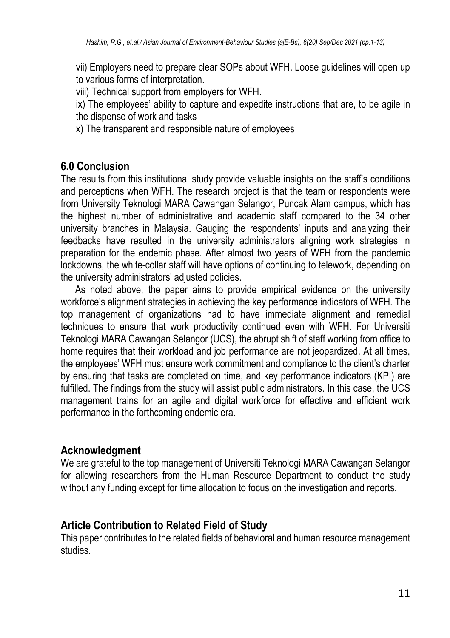vii) Employers need to prepare clear SOPs about WFH. Loose guidelines will open up to various forms of interpretation.

viii) Technical support from employers for WFH.

ix) The employees' ability to capture and expedite instructions that are, to be agile in the dispense of work and tasks

x) The transparent and responsible nature of employees

## **6.0 Conclusion**

The results from this institutional study provide valuable insights on the staff's conditions and perceptions when WFH. The research project is that the team or respondents were from University Teknologi MARA Cawangan Selangor, Puncak Alam campus, which has the highest number of administrative and academic staff compared to the 34 other university branches in Malaysia. Gauging the respondents' inputs and analyzing their feedbacks have resulted in the university administrators aligning work strategies in preparation for the endemic phase. After almost two years of WFH from the pandemic lockdowns, the white-collar staff will have options of continuing to telework, depending on the university administrators' adjusted policies.

As noted above, the paper aims to provide empirical evidence on the university workforce's alignment strategies in achieving the key performance indicators of WFH. The top management of organizations had to have immediate alignment and remedial techniques to ensure that work productivity continued even with WFH. For Universiti Teknologi MARA Cawangan Selangor (UCS), the abrupt shift of staff working from office to home requires that their workload and job performance are not jeopardized. At all times, the employees' WFH must ensure work commitment and compliance to the client's charter by ensuring that tasks are completed on time, and key performance indicators (KPI) are fulfilled. The findings from the study will assist public administrators. In this case, the UCS management trains for an agile and digital workforce for effective and efficient work performance in the forthcoming endemic era.

### **Acknowledgment**

We are grateful to the top management of Universiti Teknologi MARA Cawangan Selangor for allowing researchers from the Human Resource Department to conduct the study without any funding except for time allocation to focus on the investigation and reports.

### **Article Contribution to Related Field of Study**

This paper contributes to the related fields of behavioral and human resource management studies.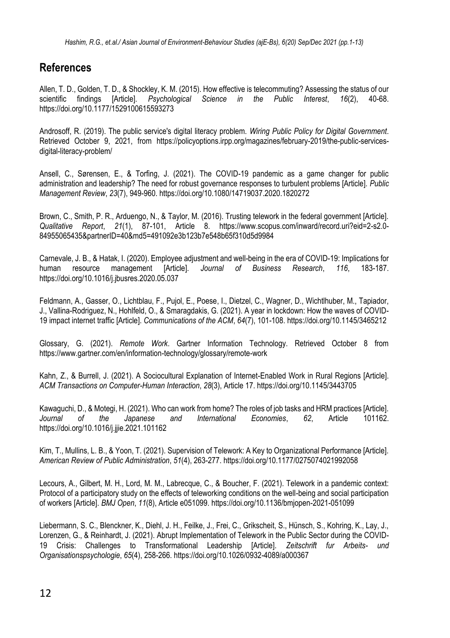#### **References**

Allen, T. D., Golden, T. D., & Shockley, K. M. (2015). How effective is telecommuting? Assessing the status of our<br>scientific findings [Article]. Psychological Science in the Public Interest. 16(2). 40-68. scientific findings [Article]. *Psychological* Science in the Public <https://doi.org/10.1177/1529100615593273>

Androsoff, R. (2019). The public service's digital literacy problem. *Wiring Public Policy for Digital Government*. Retrieved October 9, 2021, from [https://policyoptions.irpp.org/magazines/february-2019/the-public-services](https://policyoptions.irpp.org/magazines/february-2019/the-public-services-digital-literacy-problem/)[digital-literacy-problem/](https://policyoptions.irpp.org/magazines/february-2019/the-public-services-digital-literacy-problem/)

Ansell, C., Sørensen, E., & Torfing, J. (2021). The COVID-19 pandemic as a game changer for public administration and leadership? The need for robust governance responses to turbulent problems [Article]. *Public Management Review*, *23*(7), 949-960.<https://doi.org/10.1080/14719037.2020.1820272>

Brown, C., Smith, P. R., Arduengo, N., & Taylor, M. (2016). Trusting telework in the federal government [Article]. *Qualitative Report*, *21*(1), 87-101, Article 8. [https://www.scopus.com/inward/record.uri?eid=2-s2.0-](https://www.scopus.com/inward/record.uri?eid=2-s2.0-84955065435&partnerID=40&md5=491092e3b123b7e548b65f310d5d9984) [84955065435&partnerID=40&md5=491092e3b123b7e548b65f310d5d9984](https://www.scopus.com/inward/record.uri?eid=2-s2.0-84955065435&partnerID=40&md5=491092e3b123b7e548b65f310d5d9984)

Carnevale, J. B., & Hatak, I. (2020). Employee adjustment and well-being in the era of COVID-19: Implications for human resource management [Article]. *Journal of Business Research*, *116*, 183-187. <https://doi.org/10.1016/j.jbusres.2020.05.037>

Feldmann, A., Gasser, O., Lichtblau, F., Pujol, E., Poese, I., Dietzel, C., Wagner, D., Wichtlhuber, M., Tapiador, J., Vallina-Rodriguez, N., Hohlfeld, O., & Smaragdakis, G. (2021). A year in lockdown: How the waves of COVID-19 impact internet traffic [Article]. *Communications of the ACM*, *64*(7), 101-108[. https://doi.org/10.1145/3465212](https://doi.org/10.1145/3465212)

Glossary, G. (2021). *Remote Work*. Gartner Information Technology. Retrieved October 8 from <https://www.gartner.com/en/information-technology/glossary/remote-work>

Kahn, Z., & Burrell, J. (2021). A Sociocultural Explanation of Internet-Enabled Work in Rural Regions [Article]. *ACM Transactions on Computer-Human Interaction*, *28*(3), Article 17[. https://doi.org/10.1145/3443705](https://doi.org/10.1145/3443705)

Kawaguchi, D., & Motegi, H. (2021). Who can work from home? The roles of job tasks and HRM practices [Article].<br>Journal of the Japanese and International Economies. 62. Article 101162. *Journal of the Japanese and International Economies*, *62*, Article 101162. <https://doi.org/10.1016/j.jjie.2021.101162>

Kim, T., Mullins, L. B., & Yoon, T. (2021). Supervision of Telework: A Key to Organizational Performance [Article]. *American Review of Public Administration*, *51*(4), 263-277[. https://doi.org/10.1177/0275074021992058](https://doi.org/10.1177/0275074021992058)

Lecours, A., Gilbert, M. H., Lord, M. M., Labrecque, C., & Boucher, F. (2021). Telework in a pandemic context: Protocol of a participatory study on the effects of teleworking conditions on the well-being and social participation of workers [Article]. *BMJ Open*, *11*(8), Article e051099[. https://doi.org/10.1136/bmjopen-2021-051099](https://doi.org/10.1136/bmjopen-2021-051099)

Liebermann, S. C., Blenckner, K., Diehl, J. H., Feilke, J., Frei, C., Grikscheit, S., Hünsch, S., Kohring, K., Lay, J., Lorenzen, G., & Reinhardt, J. (2021). Abrupt Implementation of Telework in the Public Sector during the COVID-19 Crisis: Challenges to Transformational Leadership [Article]. *Zeitschrift fur Arbeits- und Organisationspsychologie*, *65*(4), 258-266[. https://doi.org/10.1026/0932-4089/a000367](https://doi.org/10.1026/0932-4089/a000367)